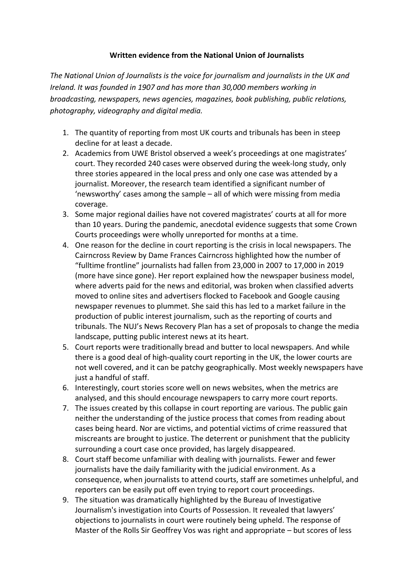## **Written evidence from the National Union of Journalists**

*The National Union of Journalists is the voice for journalism and journalists in the UK and Ireland. It was founded in 1907 and has more than 30,000 members working in broadcasting, newspapers, news agencies, magazines, book publishing, public relations, photography, videography and digital media.*

- 1. The quantity of reporting from most UK courts and tribunals has been in steep decline for at least a decade.
- 2. Academics from UWE Bristol observed a week's proceedings at one magistrates' court. They recorded 240 cases were observed during the week-long study, only three stories appeared in the local press and only one case was attended by a journalist. Moreover, the research team identified a significant number of 'newsworthy' cases among the sample – all of which were missing from media coverage.
- 3. Some major regional dailies have not covered magistrates' courts at all for more than 10 years. During the pandemic, anecdotal evidence suggests that some Crown Courts proceedings were wholly unreported for months at a time.
- 4. One reason for the decline in court reporting is the crisis in local newspapers. The Cairncross Review by Dame Frances Cairncross highlighted how the number of "fulltime frontline" journalists had fallen from 23,000 in 2007 to 17,000 in 2019 (more have since gone). Her report explained how the newspaper business model, where adverts paid for the news and editorial, was broken when classified adverts moved to online sites and advertisers flocked to Facebook and Google causing newspaper revenues to plummet. She said this has led to a market failure in the production of public interest journalism, such as the reporting of courts and tribunals. The NUJ's News Recovery Plan has a set of proposals to change the media landscape, putting public interest news at its heart.
- 5. Court reports were traditionally bread and butter to local newspapers. And while there is a good deal of high-quality court reporting in the UK, the lower courts are not well covered, and it can be patchy geographically. Most weekly newspapers have just a handful of staff.
- 6. Interestingly, court stories score well on news websites, when the metrics are analysed, and this should encourage newspapers to carry more court reports.
- 7. The issues created by this collapse in court reporting are various. The public gain neither the understanding of the justice process that comes from reading about cases being heard. Nor are victims, and potential victims of crime reassured that miscreants are brought to justice. The deterrent or punishment that the publicity surrounding a court case once provided, has largely disappeared.
- 8. Court staff become unfamiliar with dealing with journalists. Fewer and fewer journalists have the daily familiarity with the judicial environment. As a consequence, when journalists to attend courts, staff are sometimes unhelpful, and reporters can be easily put off even trying to report court proceedings.
- 9. The situation was dramatically highlighted by the Bureau of Investigative Journalism's investigation into Courts of Possession. It revealed that lawyers' objections to journalists in court were routinely being upheld. The response of Master of the Rolls Sir Geoffrey Vos was right and appropriate – but scores of less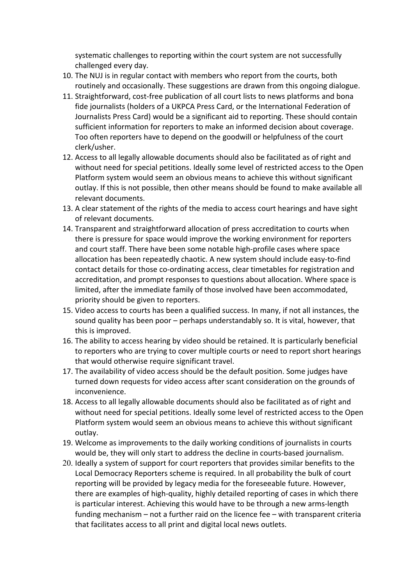systematic challenges to reporting within the court system are not successfully challenged every day.

- 10. The NUJ is in regular contact with members who report from the courts, both routinely and occasionally. These suggestions are drawn from this ongoing dialogue.
- 11. Straightforward, cost-free publication of all court lists to news platforms and bona fide journalists (holders of a UKPCA Press Card, or the International Federation of Journalists Press Card) would be a significant aid to reporting. These should contain sufficient information for reporters to make an informed decision about coverage. Too often reporters have to depend on the goodwill or helpfulness of the court clerk/usher.
- 12. Access to all legally allowable documents should also be facilitated as of right and without need for special petitions. Ideally some level of restricted access to the Open Platform system would seem an obvious means to achieve this without significant outlay. If this is not possible, then other means should be found to make available all relevant documents.
- 13. A clear statement of the rights of the media to access court hearings and have sight of relevant documents.
- 14. Transparent and straightforward allocation of press accreditation to courts when there is pressure for space would improve the working environment for reporters and court staff. There have been some notable high-profile cases where space allocation has been repeatedly chaotic. A new system should include easy-to-find contact details for those co-ordinating access, clear timetables for registration and accreditation, and prompt responses to questions about allocation. Where space is limited, after the immediate family of those involved have been accommodated, priority should be given to reporters.
- 15. Video access to courts has been a qualified success. In many, if not all instances, the sound quality has been poor – perhaps understandably so. It is vital, however, that this is improved.
- 16. The ability to access hearing by video should be retained. It is particularly beneficial to reporters who are trying to cover multiple courts or need to report short hearings that would otherwise require significant travel.
- 17. The availability of video access should be the default position. Some judges have turned down requests for video access after scant consideration on the grounds of inconvenience.
- 18. Access to all legally allowable documents should also be facilitated as of right and without need for special petitions. Ideally some level of restricted access to the Open Platform system would seem an obvious means to achieve this without significant outlay.
- 19. Welcome as improvements to the daily working conditions of journalists in courts would be, they will only start to address the decline in courts-based journalism.
- 20. Ideally a system of support for court reporters that provides similar benefits to the Local Democracy Reporters scheme is required. In all probability the bulk of court reporting will be provided by legacy media for the foreseeable future. However, there are examples of high-quality, highly detailed reporting of cases in which there is particular interest. Achieving this would have to be through a new arms-length funding mechanism – not a further raid on the licence fee – with transparent criteria that facilitates access to all print and digital local news outlets.